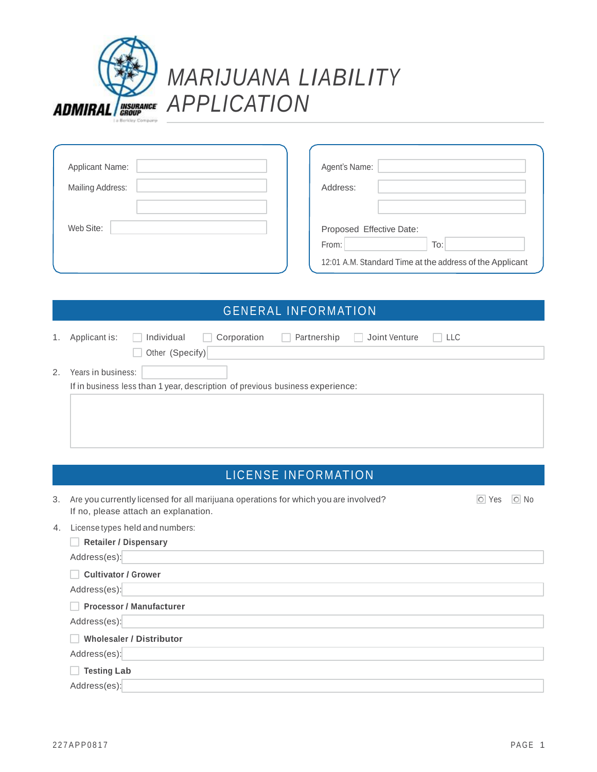

| Applicant Name:  | Agent's Name:                                                                                        |
|------------------|------------------------------------------------------------------------------------------------------|
| Mailing Address: | Address:                                                                                             |
| Web Site:        | Proposed Effective Date:<br>To:<br>From:<br>12:01 A.M. Standard Time at the address of the Applicant |

## **GENERAL INFORMATION**

| 1. | Applicant is:      | Individual      | Corporation                                                                   | Partnership | Joint Venture | $\Box$ LLC |
|----|--------------------|-----------------|-------------------------------------------------------------------------------|-------------|---------------|------------|
|    |                    | Other (Specify) |                                                                               |             |               |            |
| 2. | Years in business: |                 |                                                                               |             |               |            |
|    |                    |                 | If in business less than 1 year, description of previous business experience: |             |               |            |
|    |                    |                 |                                                                               |             |               |            |

## LICENSE INFORMATION

| 3. | Are you currently licensed for all marijuana operations for which you are involved?<br>If no, please attach an explanation. | O Yes | $\overline{\circ}$ No |
|----|-----------------------------------------------------------------------------------------------------------------------------|-------|-----------------------|
| 4. | License types held and numbers:                                                                                             |       |                       |
|    | <b>Retailer / Dispensary</b>                                                                                                |       |                       |
|    | Address(es):                                                                                                                |       |                       |
|    | <b>Cultivator / Grower</b>                                                                                                  |       |                       |
|    | Address(es):                                                                                                                |       |                       |
|    | <b>Processor / Manufacturer</b>                                                                                             |       |                       |
|    | Address(es):                                                                                                                |       |                       |
|    | <b>Wholesaler / Distributor</b>                                                                                             |       |                       |
|    | Address(es):                                                                                                                |       |                       |
|    | <b>Testing Lab</b>                                                                                                          |       |                       |
|    | Address(es):                                                                                                                |       |                       |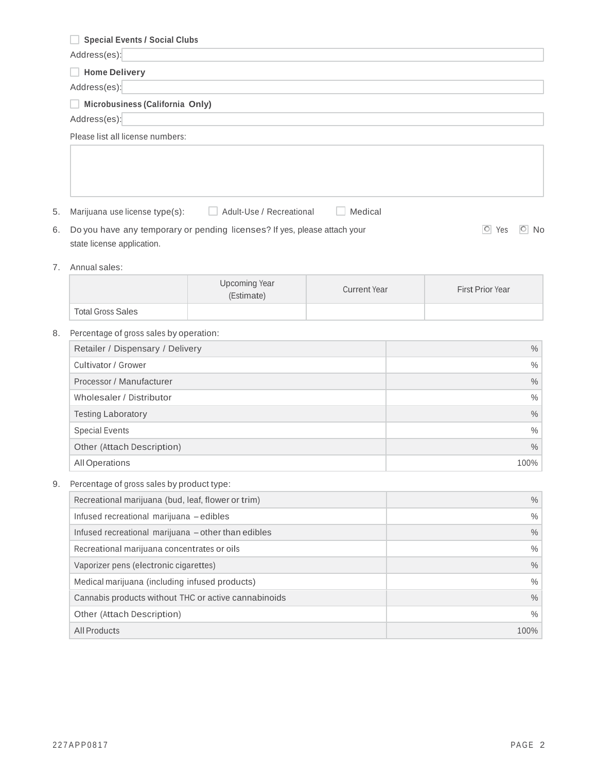| <b>Special Events / Social Clubs</b>                 |                                                                           |                     |                                   |
|------------------------------------------------------|---------------------------------------------------------------------------|---------------------|-----------------------------------|
| Address(es):                                         |                                                                           |                     |                                   |
| <b>Home Delivery</b>                                 |                                                                           |                     |                                   |
| Address(es):                                         |                                                                           |                     |                                   |
| Microbusiness (California Only)                      |                                                                           |                     |                                   |
| Address(es):                                         |                                                                           |                     |                                   |
| Please list all license numbers:                     |                                                                           |                     |                                   |
|                                                      |                                                                           |                     |                                   |
|                                                      |                                                                           |                     |                                   |
| Marijuana use license type(s):                       | Adult-Use / Recreational                                                  | Medical             |                                   |
|                                                      | Do you have any temporary or pending licenses? If yes, please attach your |                     | $\boxed{\circ}$ Yes<br>$\circ$ No |
| state license application.                           |                                                                           |                     |                                   |
| Annual sales:                                        |                                                                           |                     |                                   |
|                                                      | <b>Upcoming Year</b><br>(Estimate)                                        | <b>Current Year</b> | First Prior Year                  |
| <b>Total Gross Sales</b>                             |                                                                           |                     |                                   |
| Percentage of gross sales by operation:              |                                                                           |                     |                                   |
| Retailer / Dispensary / Delivery                     |                                                                           |                     | $\%$                              |
| Cultivator / Grower                                  |                                                                           |                     | $\%$                              |
| Processor / Manufacturer                             |                                                                           |                     | $\%$                              |
| Wholesaler / Distributor                             |                                                                           |                     | $\%$                              |
| <b>Testing Laboratory</b>                            |                                                                           |                     | $\%$                              |
| <b>Special Events</b>                                |                                                                           |                     | $\%$                              |
| Other (Attach Description)                           |                                                                           | $\%$                |                                   |
| All Operations                                       |                                                                           |                     | 100%                              |
| Percentage of gross sales by product type:           |                                                                           |                     |                                   |
| Recreational marijuana (bud, leaf, flower or trim)   |                                                                           |                     | $\%$                              |
| Infused recreational marijuana - edibles             |                                                                           |                     | $\%$                              |
| Infused recreational marijuana - other than edibles  |                                                                           | $\%$                |                                   |
| Recreational marijuana concentrates or oils          |                                                                           | $\%$                |                                   |
| Vaporizer pens (electronic cigarettes)               |                                                                           | $\%$                |                                   |
| Medical marijuana (including infused products)       |                                                                           | $\%$                |                                   |
| Cannabis products without THC or active cannabinoids |                                                                           |                     | $\%$                              |
| Other (Attach Description)                           |                                                                           |                     | $\%$                              |
| <b>All Products</b>                                  |                                                                           |                     | 100%                              |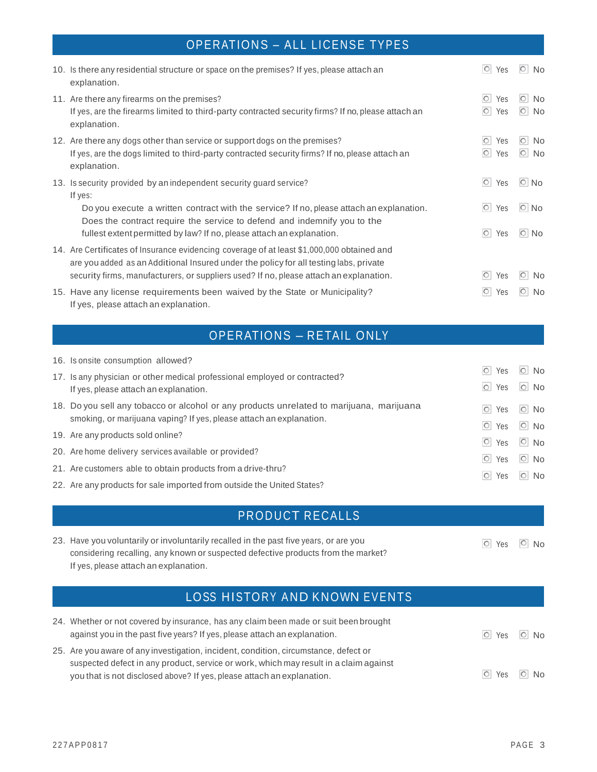# OPERATIONS – ALL LICENSE TYPES

| 10. Is there any residential structure or space on the premises? If yes, please attach an<br>explanation.                                                                                                                                                                                                                      | $\circ$<br>Yes                                 | $\overline{\circ}$<br><b>No</b>                  |
|--------------------------------------------------------------------------------------------------------------------------------------------------------------------------------------------------------------------------------------------------------------------------------------------------------------------------------|------------------------------------------------|--------------------------------------------------|
| 11. Are there any firearms on the premises?<br>If yes, are the firearms limited to third-party contracted security firms? If no, please attach an<br>explanation.                                                                                                                                                              | $\circ$<br>Yes<br> O <br>Yes                   | $\circ$<br><b>No</b><br>$\overline{\circ}$<br>No |
| 12. Are there any dogs other than service or support dogs on the premises?<br>If yes, are the dogs limited to third-party contracted security firms? If no, please attach an<br>explanation.                                                                                                                                   | O <br>Yes<br>$\circ$<br>Yes                    | $\circ$<br><b>No</b><br>$\circ$ No               |
| 13. Is security provided by an independent security guard service?<br>If yes:<br>Do you execute a written contract with the service? If no, please attach an explanation.<br>Does the contract require the service to defend and indemnify you to the<br>fullest extent permitted by law? If no, please attach an explanation. | $\circ$<br>Yes<br> O <br>Yes<br>$\circ$<br>Yes | $\boxed{\circ}$ No<br>$\circ$ No<br>$\circ$ No   |
| 14. Are Certificates of Insurance evidencing coverage of at least \$1,000,000 obtained and<br>are you added as an Additional Insured under the policy for all testing labs, private<br>security firms, manufacturers, or suppliers used? If no, please attach an explanation.                                                  | O <br>Yes                                      | $\overline{O}$<br><b>No</b>                      |
| 15. Have any license requirements been waived by the State or Municipality?<br>If yes, please attach an explanation.                                                                                                                                                                                                           | O <br>Yes                                      | O <br><b>No</b>                                  |

# OPERATIONS – RETAIL ONLY

| 16. Is onsite consumption allowed?                                                       |                     |            |
|------------------------------------------------------------------------------------------|---------------------|------------|
| 17. Is any physician or other medical professional employed or contracted?               | O <br>Yes           | $\circ$ No |
| If yes, please attach an explanation.                                                    | $\circ$ Yes         | $\circ$ No |
| 18. Do you sell any tobacco or alcohol or any products unrelated to marijuana, marijuana | lol i<br>Yes        | $\circ$ No |
| smoking, or marijuana vaping? If yes, please attach an explanation.                      | $\boxed{\circ}$ Yes | $\circ$ No |
| 19. Are any products sold online?                                                        | $\circ$ Yes         | $\circ$ No |
| 20. Are home delivery services available or provided?                                    | $\circ$ Yes         | $\circ$ No |
| 21. Are customers able to obtain products from a drive-thru?                             | $\circ$ Yes         | $\circ$ No |
| 22. Are any products for sale imported from outside the United States?                   |                     |            |

| <b>PRODUCT RECALLS</b> |  |  |
|------------------------|--|--|
|                        |  |  |

| 23. Have you voluntarily or involuntarily recalled in the past five years, or are you |
|---------------------------------------------------------------------------------------|
| considering recalling, any known or suspected defective products from the market?     |
| If yes, please attach an explanation.                                                 |

# LOSS HISTORY AND KNOWN EVENTS

| 24. Whether or not covered by insurance, has any claim been made or suit been brought<br>against you in the past five years? If yes, please attach an explanation. | $\circ$ Yes $\circ$ No |  |
|--------------------------------------------------------------------------------------------------------------------------------------------------------------------|------------------------|--|
| 25. Are you aware of any investigation, incident, condition, circumstance, defect or                                                                               |                        |  |
| suspected defect in any product, service or work, which may result in a claim against                                                                              |                        |  |
| you that is not disclosed above? If yes, please attach an explanation.                                                                                             | O Yes O No             |  |

O Yes O No